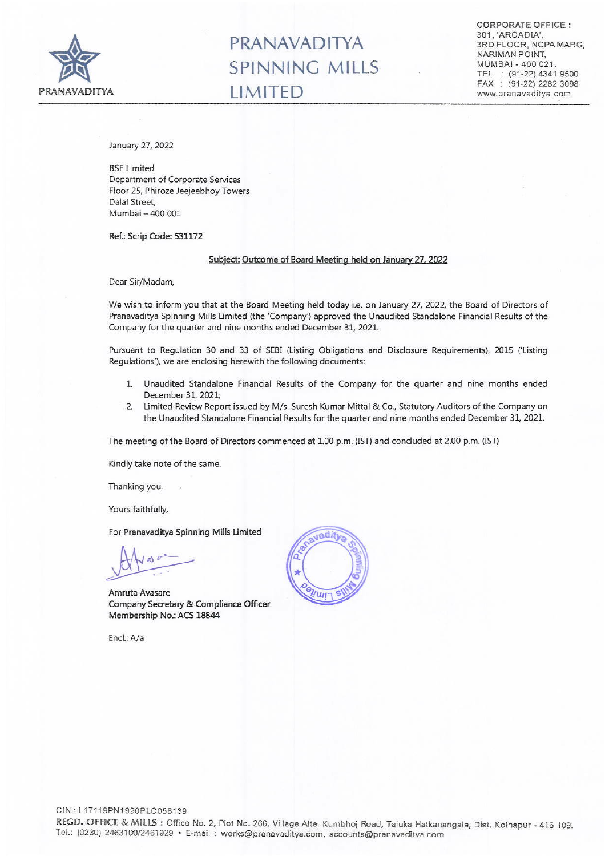

# **PRANAVADITYA SPINNING MILLS**

CORPORATE OFFICE: 301, 'ARCADIA', 3RD FLOOR, NCPA MARG, NARIMAN POINT, MUMBAI - 400 021. TEL: (91-22) 4341 9500 FAX: (91-22) 2282 3098 www.pranavaditya.com

January 27, 2022

**BSE Limited** Department of Corporate Services Floor 25, Phiroze Jeejeebhoy Towers Dalal Street, Mumbai - 400 001

Ref.: Scrip Code: 531172

### Subject: Outcome of Board Meeting held on January 27, 2022

Dear Sir/Madam,

We wish to inform you that at the Board Meeting held today i.e. on January 27, 2022, the Board of Directors of Pranavaditya Spinning Mills Limited (the 'Company') approved the Unaudited Standalone Financial Results of the Company for the quarter and nine months ended December 31, 2021.

Pursuant to Regulation 30 and 33 of SEBI (Listing Obligations and Disclosure Requirements), 2015 ('Listing Regulations'), we are enclosing herewith the following documents:

- 1. Unaudited Standalone Financial Results of the Company for the quarter and nine months ended December 31, 2021;
- 2. limited Review Report issued by M/s. Suresh Kumar Mittal & Co., Statutory Auditors of the Company on the Unaudited Standalone Financial Results for the quarter and nine months ended December 31, 2021.

The meeting of the Board of Directors commenced at 1.00 p.m. (IST) and concluded at 2.00 p.m. (IST)

Kindly take note of the same.

Thanking you,

Yours faithfully,

For Pranavaditya Spinning Mills Limited

Amruta Avasare Company Secretary & Compliance Officer Membership No.: ACS 18844

End: *Na*

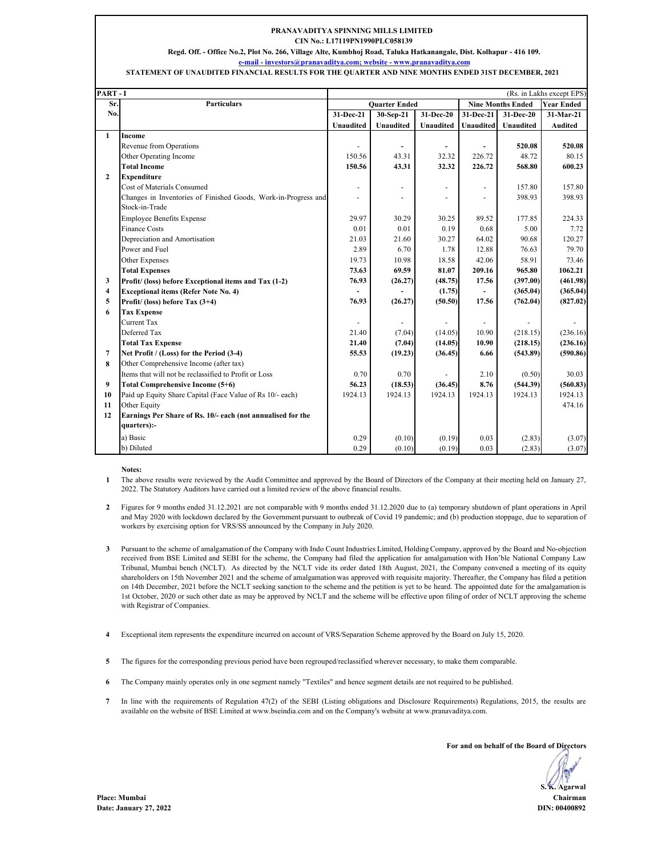### **PRANAVADITYA SPINNING MILLS LIMITED CIN No.: L17119PN1990PLC058139**

**Regd. Off. - Office No.2, Plot No. 266, Village Alte, Kumbhoj Road, Taluka Hatkanangale, Dist. Kolhapur - 416 109.**

**e-mail - investors@pranavaditya.com; website - www.pranavaditya.com**

#### **STATEMENT OF UNAUDITED FINANCIAL RESULTS FOR THE QUARTER AND NINE MONTHS ENDED 31ST DECEMBER, 2021**

| PART-I<br>(Rs. in Lakhs except EPS) |                                                                |                      |                  |                          |                          |                          |                   |  |
|-------------------------------------|----------------------------------------------------------------|----------------------|------------------|--------------------------|--------------------------|--------------------------|-------------------|--|
| Sr.                                 | <b>Particulars</b>                                             | <b>Ouarter Ended</b> |                  |                          | <b>Nine Months Ended</b> |                          | <b>Year Ended</b> |  |
| No.                                 |                                                                | 31-Dec-21            | 30-Sep-21        | 31-Dec-20                | 31-Dec-21                | 31-Dec-20                | $31-Mar-21$       |  |
|                                     |                                                                | <b>Unaudited</b>     | <b>Unaudited</b> | <b>Unaudited</b>         | <b>Unaudited</b>         | <b>Unaudited</b>         | <b>Audited</b>    |  |
| 1                                   | Income                                                         |                      |                  |                          |                          |                          |                   |  |
|                                     | Revenue from Operations                                        |                      | -                | $\blacksquare$           | ÷,                       | 520.08                   | 520.08            |  |
|                                     | Other Operating Income                                         | 150.56               | 43.31            | 32.32                    | 226.72                   | 48.72                    | 80.15             |  |
|                                     | <b>Total Income</b>                                            | 150.56               | 43.31            | 32.32                    | 226.72                   | 568.80                   | 600.23            |  |
| $\mathbf{2}$                        | <b>Expenditure</b>                                             |                      |                  |                          |                          |                          |                   |  |
|                                     | Cost of Materials Consumed                                     | ٠                    | ۰                | $\overline{\phantom{a}}$ | ٠                        | 157.80                   | 157.80            |  |
|                                     | Changes in Inventories of Finished Goods, Work-in-Progress and |                      | $\overline{a}$   | $\overline{a}$           | ä,                       | 398.93                   | 398.93            |  |
|                                     | Stock-in-Trade                                                 |                      |                  |                          |                          |                          |                   |  |
|                                     | <b>Employee Benefits Expense</b>                               | 29.97                | 30.29            | 30.25                    | 89.52                    | 177.85                   | 224.33            |  |
|                                     | <b>Finance Costs</b>                                           | 0.01                 | 0.01             | 0.19                     | 0.68                     | 5.00                     | 7.72              |  |
|                                     | Depreciation and Amortisation                                  | 21.03                | 21.60            | 30.27                    | 64.02                    | 90.68                    | 120.27            |  |
|                                     | Power and Fuel                                                 | 2.89                 | 6.70             | 1.78                     | 12.88                    | 76.63                    | 79.70             |  |
|                                     | Other Expenses                                                 | 19.73                | 10.98            | 18.58                    | 42.06                    | 58.91                    | 73.46             |  |
|                                     | <b>Total Expenses</b>                                          | 73.63                | 69.59            | 81.07                    | 209.16                   | 965.80                   | 1062.21           |  |
| 3                                   | Profit/ (loss) before Exceptional items and Tax (1-2)          | 76.93                | (26.27)          | (48.75)                  | 17.56                    | (397.00)                 | (461.98)          |  |
| $\overline{4}$                      | <b>Exceptional items (Refer Note No. 4)</b>                    |                      |                  | (1.75)                   | ÷.                       | (365.04)                 | (365.04)          |  |
| 5                                   | Profit/ (loss) before Tax (3+4)                                | 76.93                | (26.27)          | (50.50)                  | 17.56                    | (762.04)                 | (827.02)          |  |
| 6                                   | <b>Tax Expense</b>                                             |                      |                  |                          |                          |                          |                   |  |
|                                     | <b>Current Tax</b>                                             |                      | ٠                | $\overline{\phantom{a}}$ |                          | $\overline{\phantom{a}}$ |                   |  |
|                                     | Deferred Tax                                                   | 21.40                | (7.04)           | (14.05)                  | 10.90                    | (218.15)                 | (236.16)          |  |
|                                     | <b>Total Tax Expense</b>                                       | 21.40                | (7.04)           | (14.05)                  | 10.90                    | (218.15)                 | (236.16)          |  |
| $7\phantom{.0}$                     | Net Profit / (Loss) for the Period (3-4)                       | 55.53                | (19.23)          | (36.45)                  | 6.66                     | (543.89)                 | (590.86)          |  |
| 8                                   | Other Comprehensive Income (after tax)                         |                      |                  |                          |                          |                          |                   |  |
|                                     | Items that will not be reclassified to Profit or Loss          | 0.70                 | 0.70             |                          | 2.10                     | (0.50)                   | 30.03             |  |
| 9                                   | <b>Total Comprehensive Income (5+6)</b>                        | 56.23                | (18.53)          | (36.45)                  | 8.76                     | (544.39)                 | (560.83)          |  |
| 10                                  | Paid up Equity Share Capital (Face Value of Rs 10/- each)      | 1924.13              | 1924.13          | 1924.13                  | 1924.13                  | 1924.13                  | 1924.13           |  |
| 11                                  | Other Equity                                                   |                      |                  |                          |                          |                          | 474.16            |  |
| 12                                  | Earnings Per Share of Rs. 10/- each (not annualised for the    |                      |                  |                          |                          |                          |                   |  |
|                                     | quarters):-                                                    |                      |                  |                          |                          |                          |                   |  |
|                                     | a) Basic                                                       | 0.29                 | (0.10)           | (0.19)                   | 0.03                     | (2.83)                   | (3.07)            |  |
|                                     | b) Diluted                                                     | 0.29                 | (0.10)           | (0.19)                   | 0.03                     | (2.83)                   | (3.07)            |  |

## **Notes:**

**1** The above results were reviewed by the Audit Committee and approved by the Board of Directors of the Company at their meeting held on January 27, 2022. The Statutory Auditors have carried out a limited review of the above financial results.

- **2** Figures for 9 months ended 31.12.2021 are not comparable with 9 months ended 31.12.2020 due to (a) temporary shutdown of plant operations in April and May 2020 with lockdown declared by the Government pursuant to outbreak of Covid 19 pandemic; and (b) production stoppage, due to separation of workers by exercising option for VRS/SS announced by the Company in July 2020.
- **3** Pursuant to the scheme of amalgamation of the Company with Indo Count Industries Limited, Holding Company, approved by the Board and No-objection received from BSE Limited and SEBI for the scheme, the Company had filed the application for amalgamation with Hon'ble National Company Law Tribunal, Mumbai bench (NCLT). As directed by the NCLT vide its order dated 18th August, 2021, the Company convened a meeting of its equity shareholders on 15th November 2021 and the scheme of amalgamation was approved with requisite majority. Thereafter, the Company has filed a petition on 14th December, 2021 before the NCLT seeking sanction to the scheme and the petition is yet to be heard. The appointed date for the amalgamation is 1st October, 2020 or such other date as may be approved by NCLT and the scheme will be effective upon filing of order of NCLT approving the scheme with Registrar of Companies.
- **4** Exceptional item represents the expenditure incurred on account of VRS/Separation Scheme approved by the Board on July 15, 2020.
- **5** The figures for the corresponding previous period have been regrouped/reclassified wherever necessary, to make them comparable.
- **6** The Company mainly operates only in one segment namely "Textiles" and hence segment details are not required to be published.
- **7** In line with the requirements of Regulation 47(2) of the SEBI (Listing obligations and Disclosure Requirements) Regulations, 2015, the results are available on the website of BSE Limited at www.bseindia.com and on the Company's website at www.pranavaditya.com.

**For and on behalf of the Board of Directors**

**S. K. Agarwal**

**Place: Mumbai Chairman Date: January 27, 2022 DIN: 00400892**